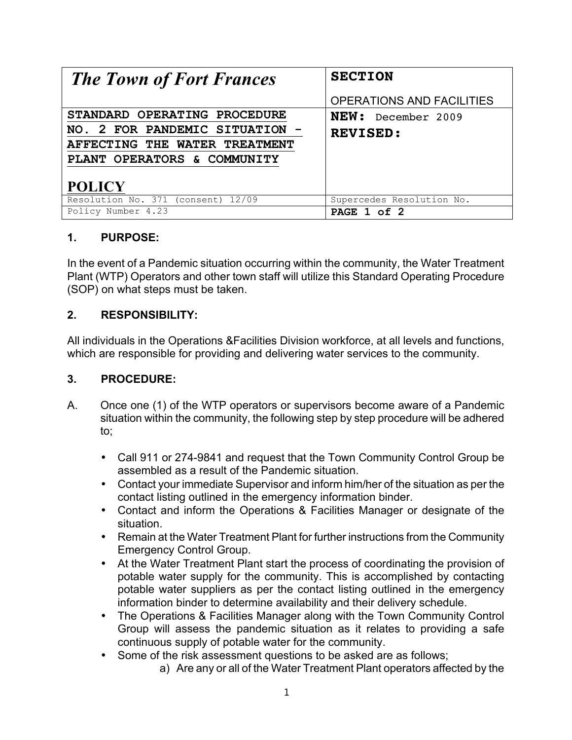| <b>The Town of Fort Frances</b>    | <b>SECTION</b>                   |
|------------------------------------|----------------------------------|
|                                    | <b>OPERATIONS AND FACILITIES</b> |
| STANDARD OPERATING PROCEDURE       | NEW: December 2009               |
| NO. 2 FOR PANDEMIC SITUATION -     | <b>REVISED:</b>                  |
| AFFECTING THE WATER TREATMENT      |                                  |
| PLANT OPERATORS & COMMUNITY        |                                  |
| <b>POLICY</b>                      |                                  |
| Resolution No. 371 (consent) 12/09 | Supercedes Resolution No.        |
| Policy Number 4.23                 | PAGE 1 of 2                      |

## **1. PURPOSE:**

In the event of a Pandemic situation occurring within the community, the Water Treatment Plant (WTP) Operators and other town staff will utilize this Standard Operating Procedure (SOP) on what steps must be taken.

## **2. RESPONSIBILITY:**

All individuals in the Operations &Facilities Division workforce, at all levels and functions, which are responsible for providing and delivering water services to the community.

## **3. PROCEDURE:**

- A. Once one (1) of the WTP operators or supervisors become aware of a Pandemic situation within the community, the following step by step procedure will be adhered to;
	- Call 911 or 274-9841 and request that the Town Community Control Group be assembled as a result of the Pandemic situation.
	- Contact your immediate Supervisor and inform him/her of the situation as per the contact listing outlined in the emergency information binder.
	- Contact and inform the Operations & Facilities Manager or designate of the situation.
	- Remain at the Water Treatment Plant for further instructions from the Community Emergency Control Group.
	- At the Water Treatment Plant start the process of coordinating the provision of potable water supply for the community. This is accomplished by contacting potable water suppliers as per the contact listing outlined in the emergency information binder to determine availability and their delivery schedule.
	- The Operations & Facilities Manager along with the Town Community Control Group will assess the pandemic situation as it relates to providing a safe continuous supply of potable water for the community.
	- Some of the risk assessment questions to be asked are as follows;
		- a) Are any or all of the Water Treatment Plant operators affected by the